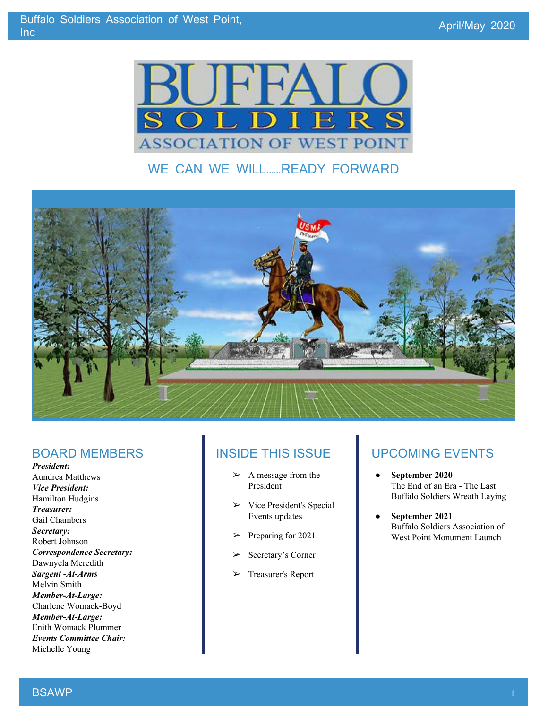

### WE CAN WE WILL……READY FORWARD



#### BOARD MEMBERS

*President:* Aundrea Matthews *Vice President:* Hamilton Hudgins *Treasurer:* Gail Chambers *Secretary:* Robert Johnson *Correspondence Secretary:* Dawnyela Meredith *Sargent -At-Arms* Melvin Smith *Member-At-Large:* Charlene Womack-Boyd *Member-At-Large:* Enith Womack Plummer *Events Committee Chair:* Michelle Young

#### INSIDE THIS ISSUE

- ➢ A message from the President
- $\triangleright$  Vice President's Special Events updates
- ➢ Preparing for 2021
- ➢ Secretary's Corner
- ➢ Treasurer's Report

### UPCOMING EVENTS

- **September 2020** The End of an Era - The Last Buffalo Soldiers Wreath Laying
- **September 2021** Buffalo Soldiers Association of West Point Monument Launch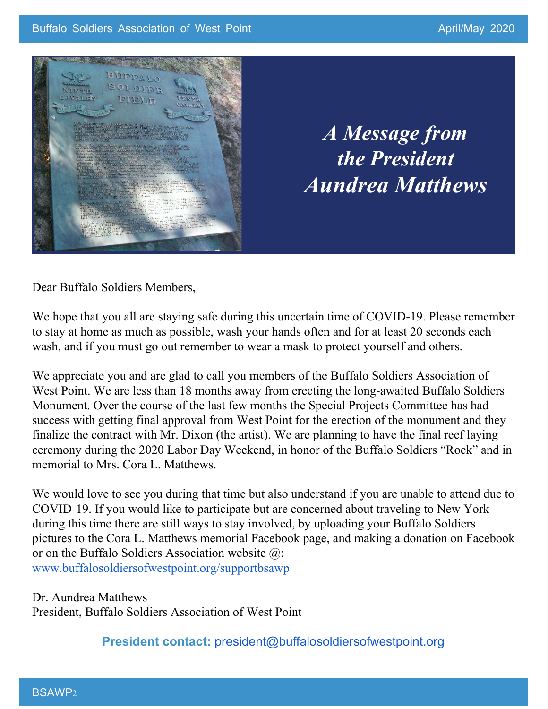

*A Message from the President Aundrea Matthews*

Dear Buffalo Soldiers Members,

We hope that you all are staying safe during this uncertain time of COVID-19. Please remember to stay at home as much as possible, wash your hands often and for at least 20 seconds each wash, and if you must go out remember to wear a mask to protect yourself and others.

We appreciate you and are glad to call you members of the Buffalo Soldiers Association of West Point. We are less than 18 months away from erecting the long-awaited Buffalo Soldiers Monument. Over the course of the last few months the Special Projects Committee has had success with getting final approval from West Point for the erection of the monument and they finalize the contract with Mr. Dixon (the artist). We are planning to have the final reef laying ceremony during the 2020 Labor Day Weekend, in honor of the Buffalo Soldiers "Rock" and in memorial to Mrs. Cora L. Matthews.

We would love to see you during that time but also understand if you are unable to attend due to COVID-19. If you would like to participate but are concerned about traveling to New York during this time there are still ways to stay involved, by uploading your Buffalo Soldiers pictures to the Cora L. Matthews memorial Facebook page, and making a donation on Facebook or on the Buffalo Soldiers Association website @: [www.buffalosoldiersofwestpoint.org/supportbsawp](https://www.buffalosoldiersofwestpoint.org/supportbsawp)

Dr. Aundrea Matthews President, Buffalo Soldiers Association of West Point

**President contact:** [president@buffalosoldiersofwestpoint.org](mailto:president@buffalosoldiersofwestpoint.org)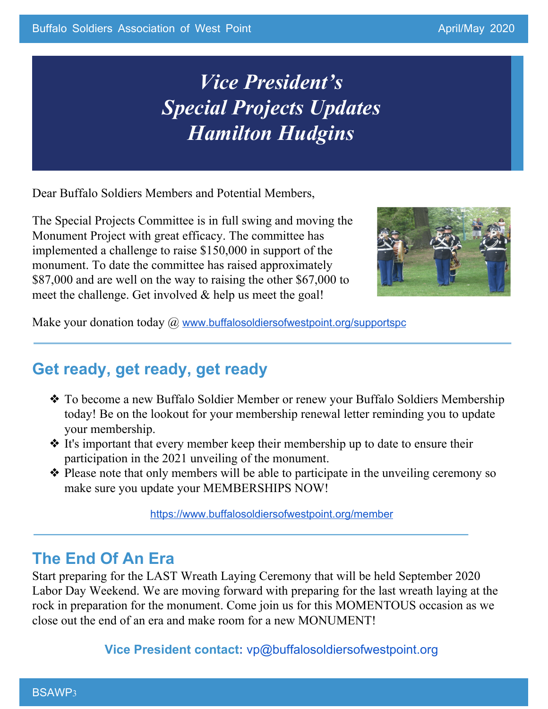## *Vice President's Special Projects Updates Hamilton Hudgins*

Dear Buffalo Soldiers Members and Potential Members,

The Special Projects Committee is in full swing and moving the Monument Project with great efficacy. The committee has implemented a challenge to raise \$150,000 in support of the monument. To date the committee has raised approximately \$87,000 and are well on the way to raising the other \$67,000 to meet the challenge. Get involved  $\&$  help us meet the goal!



Make your donation today @ [www.buffalosoldiersofwestpoint.org/supportspc](https://www.buffalosoldiersofwestpoint.org/supportspc)

### **Get ready, get ready, get ready**

- ❖ To become a new Buffalo Soldier Member or renew your Buffalo Soldiers Membership today! Be on the lookout for your membership renewal letter reminding you to update your membership.
- ❖ It's important that every member keep their membership up to date to ensure their participation in the 2021 unveiling of the monument.
- ❖ Please note that only members will be able to participate in the unveiling ceremony so make sure you update your MEMBERSHIPS NOW!

<https://www.buffalosoldiersofwestpoint.org/member>

### **The End Of An Era**

Start preparing for the LAST Wreath Laying Ceremony that will be held September 2020 Labor Day Weekend. We are moving forward with preparing for the last wreath laying at the rock in preparation for the monument. Come join us for this MOMENTOUS occasion as we close out the end of an era and make room for a new MONUMENT!

**Vice President contact:** [vp@buffalosoldiersofwestpoint.org](mailto:vp@buffalosoldiersofwestpoint.org)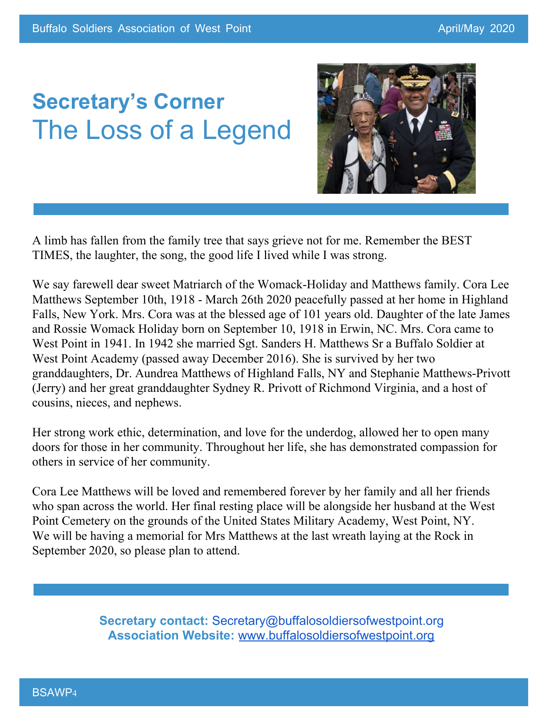# **Secretary's Corner** The Loss of a Legend



A limb has fallen from the family tree that says grieve not for me. Remember the BEST TIMES, the laughter, the song, the good life I lived while I was strong.

We say farewell dear sweet Matriarch of the Womack-Holiday and Matthews family. Cora Lee Matthews September 10th, 1918 - March 26th 2020 peacefully passed at her home in Highland Falls, New York. Mrs. Cora was at the blessed age of 101 years old. Daughter of the late James and Rossie Womack Holiday born on September 10, 1918 in Erwin, NC. Mrs. Cora came to West Point in 1941. In 1942 she married Sgt. Sanders H. Matthews Sr a Buffalo Soldier at West Point Academy (passed away December 2016). She is survived by her two granddaughters, Dr. Aundrea Matthews of Highland Falls, NY and Stephanie Matthews-Privott (Jerry) and her great granddaughter Sydney R. Privott of Richmond Virginia, and a host of cousins, nieces, and nephews.

Her strong work ethic, determination, and love for the underdog, allowed her to open many doors for those in her community. Throughout her life, she has demonstrated compassion for others in service of her community.

Cora Lee Matthews will be loved and remembered forever by her family and all her friends who span across the world. Her final resting place will be alongside her husband at the West Point Cemetery on the grounds of the United States Military Academy, West Point, NY. We will be having a memorial for Mrs Matthews at the last wreath laying at the Rock in September 2020, so please plan to attend.

> **Secretary contact:** [Secretary@buffalosoldiersofwestpoint.org](mailto:Secretary@buffalosoldiersofwestpoint.org) **Association Website:** [www.buffalosoldiersofwestpoint.org](http://www.buffalosoldiersofwestpoint.org/)